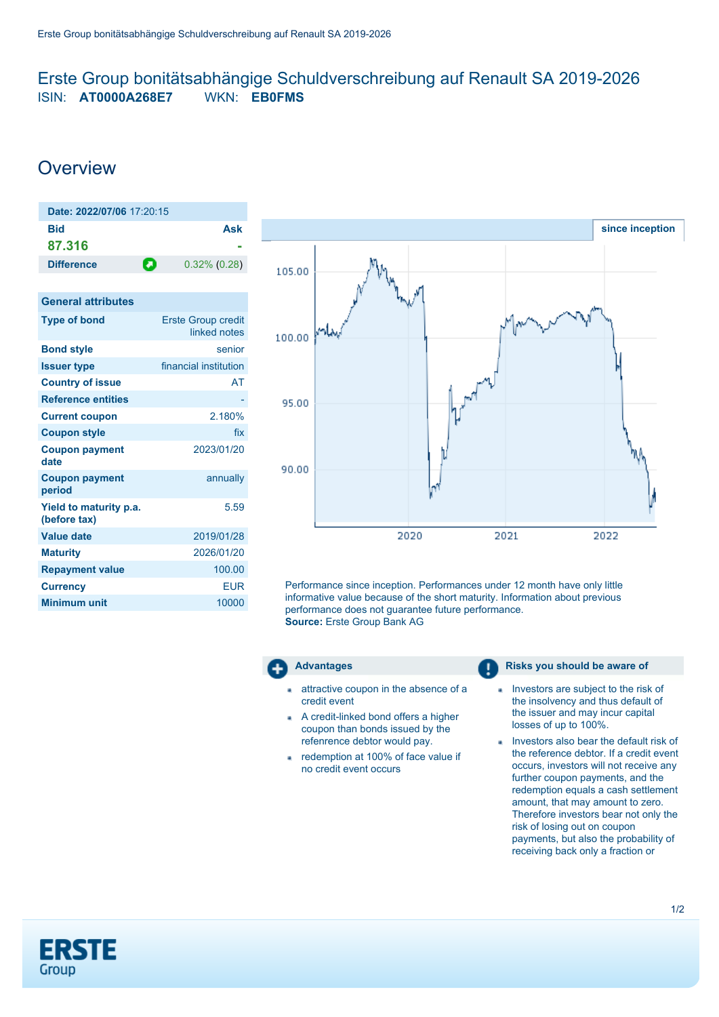# <span id="page-0-0"></span>Erste Group bonitätsabhängige Schuldverschreibung auf Renault SA 2019-2026 ISIN: **AT0000A268E7** WKN: **EB0FMS**

# **Overview**

| Date: 2022/07/06 17:20:15 |     |                 |
|---------------------------|-----|-----------------|
| Bid                       |     | Ask             |
| 87.316                    |     |                 |
| <b>Difference</b>         | ÷O. | $0.32\%$ (0.28) |
|                           |     |                 |

| <b>General attributes</b>              |                                           |
|----------------------------------------|-------------------------------------------|
| <b>Type of bond</b>                    | <b>Erste Group credit</b><br>linked notes |
| <b>Bond style</b>                      | senior                                    |
| <b>Issuer type</b>                     | financial institution                     |
| <b>Country of issue</b>                | AT                                        |
| <b>Reference entities</b>              |                                           |
| <b>Current coupon</b>                  | 2.180%                                    |
| <b>Coupon style</b>                    | fix                                       |
| <b>Coupon payment</b><br>date          | 2023/01/20                                |
| <b>Coupon payment</b><br>period        | annually                                  |
| Yield to maturity p.a.<br>(before tax) | 5.59                                      |
| <b>Value date</b>                      | 2019/01/28                                |
| <b>Maturity</b>                        | 2026/01/20                                |
| <b>Repayment value</b>                 | 100.00                                    |
| <b>Currency</b>                        | <b>EUR</b>                                |
| <b>Minimum unit</b>                    | 10000                                     |
|                                        |                                           |



Performance since inception. Performances under 12 month have only little informative value because of the short maturity. Information about previous performance does not guarantee future performance. **Source:** Erste Group Bank AG



- attractive coupon in the absence of a credit event
- A credit-linked bond offers a higher coupon than bonds issued by the refenrence debtor would pay.
- redemption at 100% of face value if no credit event occurs

# **Advantages Risks** you should be aware of

- Investors are subject to the risk of the insolvency and thus default of the issuer and may incur capital losses of up to 100%.
- Investors also bear the default risk of the reference debtor. If a credit event occurs, investors will not receive any further coupon payments, and the redemption equals a cash settlement amount, that may amount to zero. Therefore investors bear not only the risk of losing out on coupon payments, but also the probability of receiving back only a fraction or